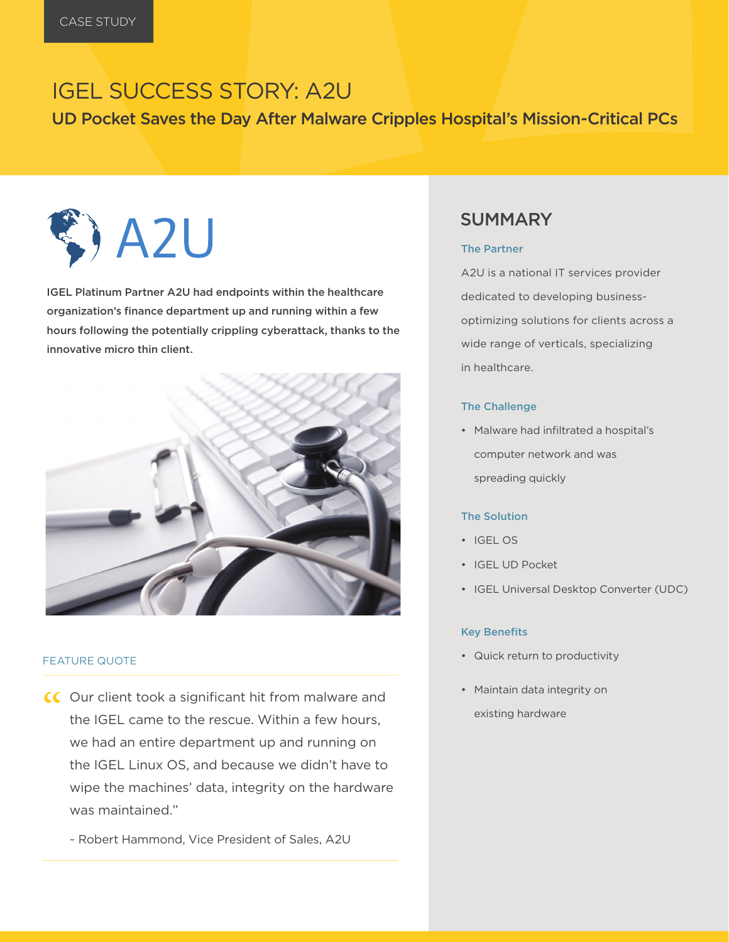# IGEL SUCCESS STORY: A2U

UD Pocket Saves the Day After Malware Cripples Hospital's Mission-Critical PCs



IGEL Platinum Partner A2U had endpoints within the healthcare organization's finance department up and running within a few hours following the potentially crippling cyberattack, thanks to the innovative micro thin client.



#### FEATURE QUOTE

- CC Our client took a significant hit from malware and<br>the IGEL came to the rescue. Within a few hours, the IGEL came to the rescue. Within a few hours, we had an entire department up and running on the IGEL Linux OS, and because we didn't have to wipe the machines' data, integrity on the hardware was maintained."
	- ~ Robert Hammond, Vice President of Sales, A2U

## SUMMARY

#### The Partner

A2U is a national IT services provider dedicated to developing businessoptimizing solutions for clients across a wide range of verticals, specializing in healthcare.

#### The Challenge

• Malware had infiltrated a hospital's computer network and was spreading quickly

### The Solution

- IGEL OS
- IGEL UD Pocket
- IGEL Universal Desktop Converter (UDC)

#### Key Benefits

- Quick return to productivity
- Maintain data integrity on existing hardware